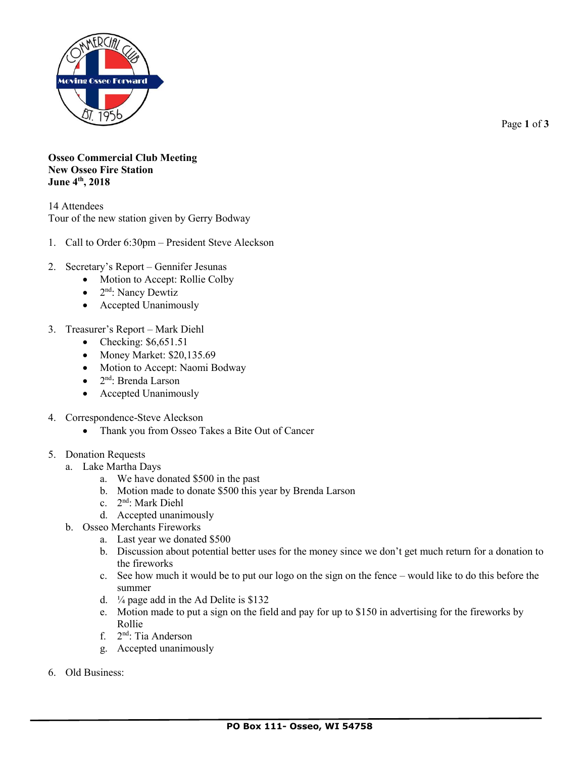

Page **1** of **3**

**Osseo Commercial Club Meeting New Osseo Fire Station June 4th, 2018**

14 Attendees Tour of the new station given by Gerry Bodway

- 1. Call to Order 6:30pm President Steve Aleckson
- 2. Secretary's Report Gennifer Jesunas
	- Motion to Accept: Rollie Colby
	- 2<sup>nd</sup>: Nancy Dewtiz
	- Accepted Unanimously
- 3. Treasurer's Report Mark Diehl
	- Checking:  $$6,651.51$
	- Money Market: \$20,135.69
	- Motion to Accept: Naomi Bodway
	- 2<sup>nd</sup>: Brenda Larson
	- Accepted Unanimously
- 4. Correspondence-Steve Aleckson
	- Thank you from Osseo Takes a Bite Out of Cancer
- 5. Donation Requests
	- a. Lake Martha Days
		- a. We have donated \$500 in the past
		- b. Motion made to donate \$500 this year by Brenda Larson
		- c. 2 nd: Mark Diehl
		- d. Accepted unanimously
	- b. Osseo Merchants Fireworks
		- a. Last year we donated \$500
		- b. Discussion about potential better uses for the money since we don't get much return for a donation to the fireworks
		- c. See how much it would be to put our logo on the sign on the fence would like to do this before the summer
		- d.  $\frac{1}{4}$  page add in the Ad Delite is \$132
		- e. Motion made to put a sign on the field and pay for up to \$150 in advertising for the fireworks by Rollie
		- f. 2<sup>nd</sup>: Tia Anderson
		- g. Accepted unanimously
- 6. Old Business: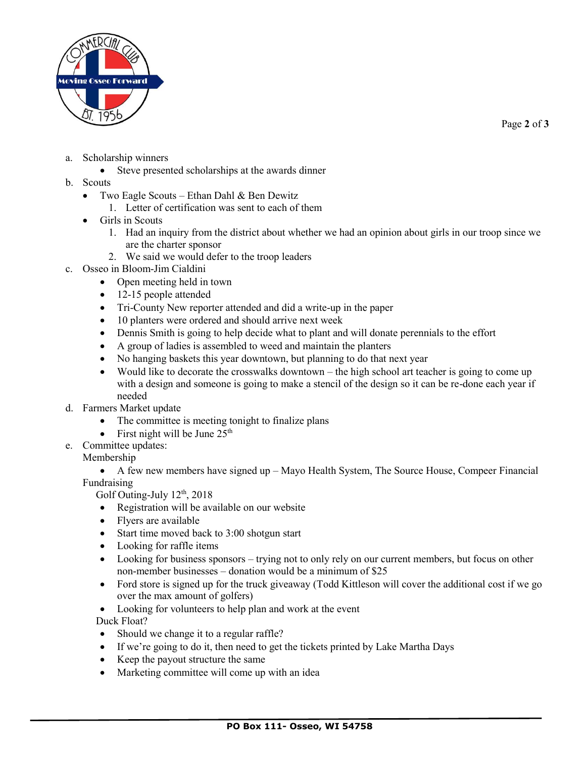

Page **2** of **3**

- a. Scholarship winners
	- Steve presented scholarships at the awards dinner
- b. Scouts
	- Two Eagle Scouts Ethan Dahl & Ben Dewitz
		- 1. Letter of certification was sent to each of them
	- Girls in Scouts
		- 1. Had an inquiry from the district about whether we had an opinion about girls in our troop since we are the charter sponsor
		- 2. We said we would defer to the troop leaders
- c. Osseo in Bloom-Jim Cialdini
	- Open meeting held in town
	- 12-15 people attended
	- Tri-County New reporter attended and did a write-up in the paper
	- 10 planters were ordered and should arrive next week
	- Dennis Smith is going to help decide what to plant and will donate perennials to the effort
	- A group of ladies is assembled to weed and maintain the planters
	- No hanging baskets this year downtown, but planning to do that next year
	- Would like to decorate the crosswalks downtown the high school art teacher is going to come up with a design and someone is going to make a stencil of the design so it can be re-done each year if needed
- d. Farmers Market update
	- The committee is meeting tonight to finalize plans
	- First night will be June  $25<sup>th</sup>$
- e. Committee updates:

## Membership

• A few new members have signed up – Mayo Health System, The Source House, Compeer Financial Fundraising

Golf Outing-July  $12<sup>th</sup>$ , 2018

- Registration will be available on our website
- Flyers are available
- Start time moved back to 3:00 shotgun start
- Looking for raffle items
- Looking for business sponsors trying not to only rely on our current members, but focus on other non-member businesses – donation would be a minimum of \$25
- Ford store is signed up for the truck giveaway (Todd Kittleson will cover the additional cost if we go over the max amount of golfers)
- Looking for volunteers to help plan and work at the event Duck Float?
- Should we change it to a regular raffle?
- If we're going to do it, then need to get the tickets printed by Lake Martha Days
- Keep the payout structure the same
- Marketing committee will come up with an idea